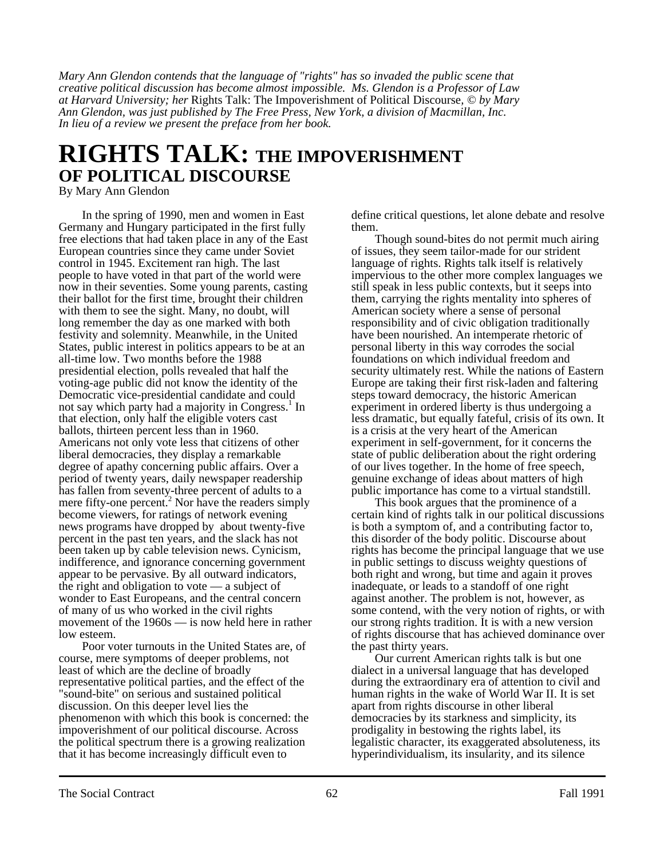*Mary Ann Glendon contends that the language of "rights" has so invaded the public scene that creative political discussion has become almost impossible. Ms. Glendon is a Professor of Law at Harvard University; her* Rights Talk: The Impoverishment of Political Discourse*, © by Mary Ann Glendon, was just published by The Free Press, New York, a division of Macmillan, Inc. In lieu of a review we present the preface from her book.*

## **RIGHTS TALK: THE IMPOVERISHMENT OF POLITICAL DISCOURSE**

By Mary Ann Glendon

In the spring of 1990, men and women in East Germany and Hungary participated in the first fully free elections that had taken place in any of the East European countries since they came under Soviet control in 1945. Excitement ran high. The last people to have voted in that part of the world were now in their seventies. Some young parents, casting their ballot for the first time, brought their children with them to see the sight. Many, no doubt, will long remember the day as one marked with both festivity and solemnity. Meanwhile, in the United States, public interest in politics appears to be at an all-time low. Two months before the 1988 presidential election, polls revealed that half the voting-age public did not know the identity of the Democratic vice-presidential candidate and could not say which party had a majority in Congress.<sup>1</sup> In that election, only half the eligible voters cast ballots, thirteen percent less than in 1960. Americans not only vote less that citizens of other liberal democracies, they display a remarkable degree of apathy concerning public affairs. Over a period of twenty years, daily newspaper readership has fallen from seventy-three percent of adults to a mere fifty-one percent.<sup>2</sup> Nor have the readers simply become viewers, for ratings of network evening news programs have dropped by about twenty-five percent in the past ten years, and the slack has not been taken up by cable television news. Cynicism, indifference, and ignorance concerning government appear to be pervasive. By all outward indicators, the right and obligation to vote — a subject of wonder to East Europeans, and the central concern of many of us who worked in the civil rights movement of the 1960s — is now held here in rather low esteem.

Poor voter turnouts in the United States are, of course, mere symptoms of deeper problems, not least of which are the decline of broadly representative political parties, and the effect of the "sound-bite" on serious and sustained political discussion. On this deeper level lies the phenomenon with which this book is concerned: the impoverishment of our political discourse. Across the political spectrum there is a growing realization that it has become increasingly difficult even to

define critical questions, let alone debate and resolve them.

Though sound-bites do not permit much airing of issues, they seem tailor-made for our strident language of rights. Rights talk itself is relatively impervious to the other more complex languages we still speak in less public contexts, but it seeps into them, carrying the rights mentality into spheres of American society where a sense of personal responsibility and of civic obligation traditionally have been nourished. An intemperate rhetoric of personal liberty in this way corrodes the social foundations on which individual freedom and security ultimately rest. While the nations of Eastern Europe are taking their first risk-laden and faltering steps toward democracy, the historic American experiment in ordered liberty is thus undergoing a less dramatic, but equally fateful, crisis of its own. It is a crisis at the very heart of the American experiment in self-government, for it concerns the state of public deliberation about the right ordering of our lives together. In the home of free speech, genuine exchange of ideas about matters of high public importance has come to a virtual standstill.

This book argues that the prominence of a certain kind of rights talk in our political discussions is both a symptom of, and a contributing factor to, this disorder of the body politic. Discourse about rights has become the principal language that we use in public settings to discuss weighty questions of both right and wrong, but time and again it proves inadequate, or leads to a standoff of one right against another. The problem is not, however, as some contend, with the very notion of rights, or with our strong rights tradition. It is with a new version of rights discourse that has achieved dominance over the past thirty years.

Our current American rights talk is but one dialect in a universal language that has developed during the extraordinary era of attention to civil and human rights in the wake of World War II. It is set apart from rights discourse in other liberal democracies by its starkness and simplicity, its prodigality in bestowing the rights label, its legalistic character, its exaggerated absoluteness, its hyperindividualism, its insularity, and its silence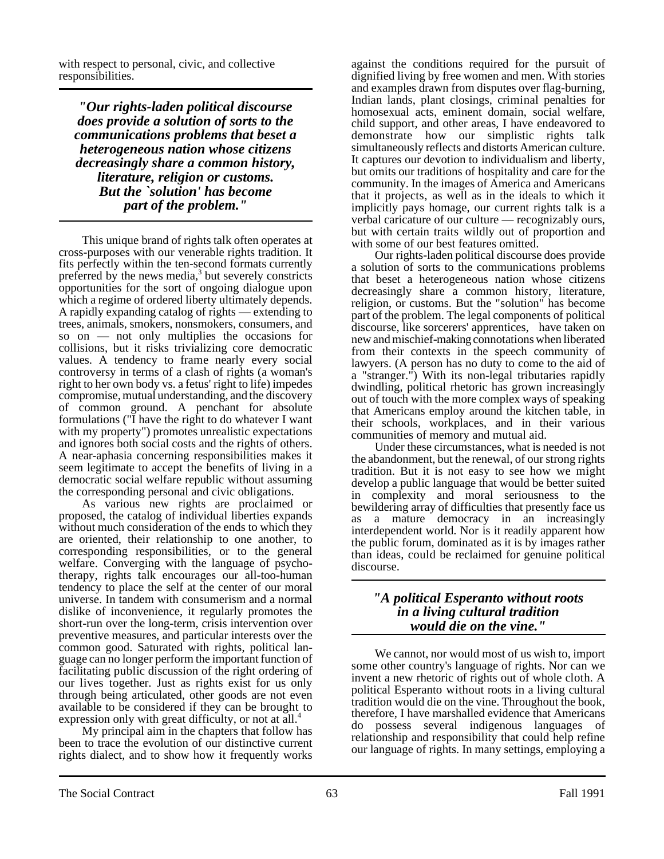with respect to personal, civic, and collective responsibilities.

*"Our rights-laden political discourse does provide a solution of sorts to the communications problems that beset a heterogeneous nation whose citizens decreasingly share a common history, literature, religion or customs. But the `solution' has become part of the problem."*

This unique brand of rights talk often operates at cross-purposes with our venerable rights tradition. It fits perfectly within the ten-second formats currently preferred by the news media, $3$  but severely constricts opportunities for the sort of ongoing dialogue upon which a regime of ordered liberty ultimately depends. A rapidly expanding catalog of rights — extending to trees, animals, smokers, nonsmokers, consumers, and so on — not only multiplies the occasions for collisions, but it risks trivializing core democratic values. A tendency to frame nearly every social controversy in terms of a clash of rights (a woman's right to her own body vs. a fetus' right to life) impedes compromise, mutual understanding, and the discovery of common ground. A penchant for absolute formulations ("I have the right to do whatever I want with my property") promotes unrealistic expectations and ignores both social costs and the rights of others. A near-aphasia concerning responsibilities makes it seem legitimate to accept the benefits of living in a democratic social welfare republic without assuming the corresponding personal and civic obligations.

As various new rights are proclaimed or proposed, the catalog of individual liberties expands without much consideration of the ends to which they are oriented, their relationship to one another, to corresponding responsibilities, or to the general welfare. Converging with the language of psychotherapy, rights talk encourages our all-too-human tendency to place the self at the center of our moral universe. In tandem with consumerism and a normal dislike of inconvenience, it regularly promotes the short-run over the long-term, crisis intervention over preventive measures, and particular interests over the common good. Saturated with rights, political language can no longer perform the important function of facilitating public discussion of the right ordering of our lives together. Just as rights exist for us only through being articulated, other goods are not even available to be considered if they can be brought to expression only with great difficulty, or not at all.<sup>4</sup>

My principal aim in the chapters that follow has been to trace the evolution of our distinctive current rights dialect, and to show how it frequently works against the conditions required for the pursuit of dignified living by free women and men. With stories and examples drawn from disputes over flag-burning, Indian lands, plant closings, criminal penalties for homosexual acts, eminent domain, social welfare, child support, and other areas, I have endeavored to demonstrate how our simplistic rights talk simultaneously reflects and distorts American culture. It captures our devotion to individualism and liberty, but omits our traditions of hospitality and care for the community. In the images of America and Americans that it projects, as well as in the ideals to which it implicitly pays homage, our current rights talk is a verbal caricature of our culture — recognizably ours, but with certain traits wildly out of proportion and with some of our best features omitted.

Our rights-laden political discourse does provide a solution of sorts to the communications problems that beset a heterogeneous nation whose citizens decreasingly share a common history, literature, religion, or customs. But the "solution" has become part of the problem. The legal components of political discourse, like sorcerers' apprentices, have taken on new and mischief-making connotations when liberated from their contexts in the speech community of lawyers. (A person has no duty to come to the aid of a "stranger.") With its non-legal tributaries rapidly dwindling, political rhetoric has grown increasingly out of touch with the more complex ways of speaking that Americans employ around the kitchen table, in their schools, workplaces, and in their various communities of memory and mutual aid.

Under these circumstances, what is needed is not the abandonment, but the renewal, of our strong rights tradition. But it is not easy to see how we might develop a public language that would be better suited in complexity and moral seriousness to the bewildering array of difficulties that presently face us as a mature democracy in an increasingly interdependent world. Nor is it readily apparent how the public forum, dominated as it is by images rather than ideas, could be reclaimed for genuine political discourse.

## *"A political Esperanto without roots in a living cultural tradition would die on the vine."*

We cannot, nor would most of us wish to, import some other country's language of rights. Nor can we invent a new rhetoric of rights out of whole cloth. A political Esperanto without roots in a living cultural tradition would die on the vine. Throughout the book, therefore, I have marshalled evidence that Americans do possess several indigenous languages of relationship and responsibility that could help refine our language of rights. In many settings, employing a